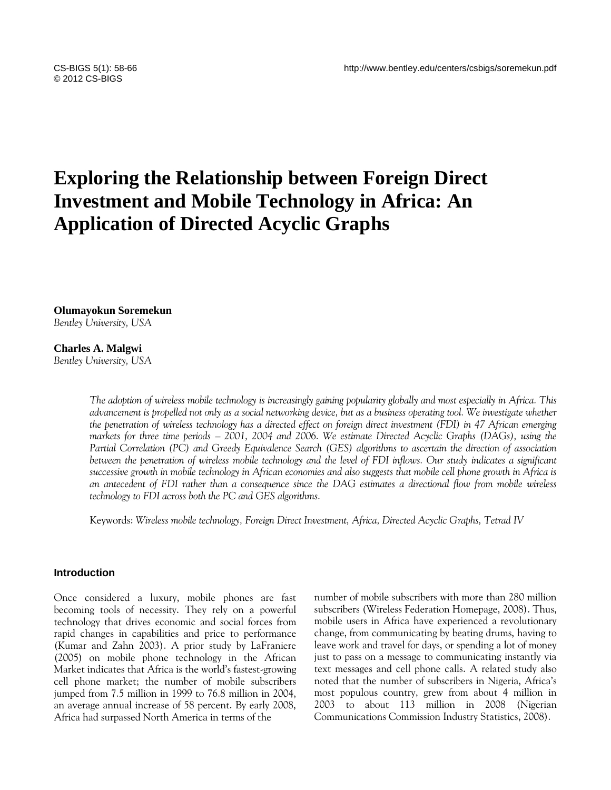# **Exploring the Relationship between Foreign Direct Investment and Mobile Technology in Africa: An Application of Directed Acyclic Graphs**

**Olumayokun Soremekun** *Bentley University, USA*

# **Charles A. Malgwi**

*Bentley University, USA*

*The adoption of wireless mobile technology is increasingly gaining popularity globally and most especially in Africa. This advancement is propelled not only as a social networking device, but as a business operating tool. We investigate whether the penetration of wireless technology has a directed effect on foreign direct investment (FDI) in 47 African emerging markets for three time periods – 2001, 2004 and 2006. We estimate Directed Acyclic Graphs (DAGs), using the Partial Correlation (PC) and Greedy Equivalence Search (GES) algorithms to ascertain the direction of association between the penetration of wireless mobile technology and the level of FDI inflows. Our study indicates a significant successive growth in mobile technology in African economies and also suggests that mobile cell phone growth in Africa is an antecedent of FDI rather than a consequence since the DAG estimates a directional flow from mobile wireless technology to FDI across both the PC and GES algorithms.*

Keywords: *Wireless mobile technology, Foreign Direct Investment, Africa, Directed Acyclic Graphs, Tetrad IV*

## **Introduction**

Once considered a luxury, mobile phones are fast becoming tools of necessity. They rely on a powerful technology that drives economic and social forces from rapid changes in capabilities and price to performance (Kumar and Zahn 2003). A prior study by LaFraniere (2005) on mobile phone technology in the African Market indicates that Africa is the world's fastest-growing cell phone market; the number of mobile subscribers jumped from 7.5 million in 1999 to 76.8 million in 2004, an average annual increase of 58 percent. By early 2008, Africa had surpassed North America in terms of the

number of mobile subscribers with more than 280 million subscribers (Wireless Federation Homepage, 2008). Thus, mobile users in Africa have experienced a revolutionary change, from communicating by beating drums, having to leave work and travel for days, or spending a lot of money just to pass on a message to communicating instantly via text messages and cell phone calls. A related study also noted that the number of subscribers in Nigeria, Africa's most populous country, grew from about 4 million in 2003 to about 113 million in 2008 (Nigerian Communications Commission Industry Statistics, 2008).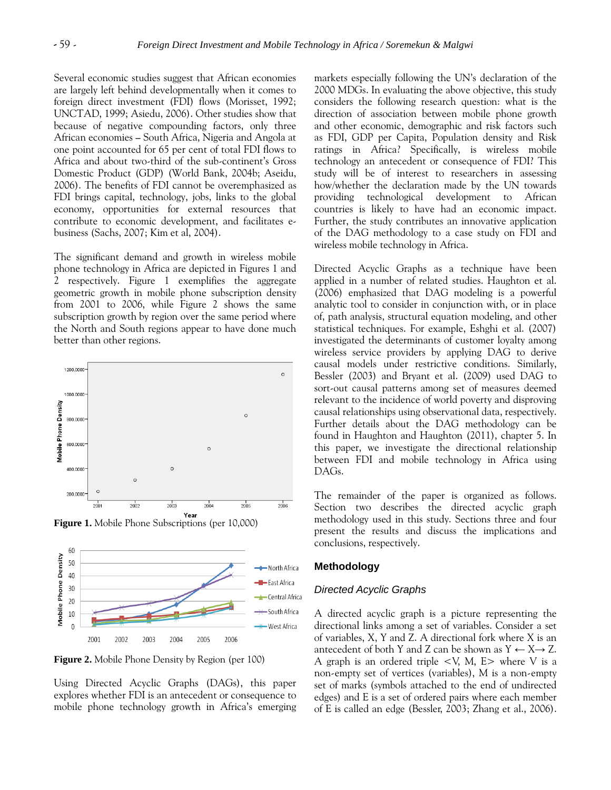Several economic studies suggest that African economies are largely left behind developmentally when it comes to foreign direct investment (FDI) flows (Morisset, 1992; UNCTAD, 1999; Asiedu, 2006). Other studies show that because of negative compounding factors, only three African economies **–** South Africa, Nigeria and Angola at one point accounted for 65 per cent of total FDI flows to Africa and about two-third of the sub-continent's Gross Domestic Product (GDP) (World Bank, 2004b; Aseidu, 2006). The benefits of FDI cannot be overemphasized as FDI brings capital, technology, jobs, links to the global economy, opportunities for external resources that contribute to economic development, and facilitates ebusiness (Sachs, 2007; Kim et al, 2004).

The significant demand and growth in wireless mobile phone technology in Africa are depicted in Figures 1 and 2 respectively. Figure 1 exemplifies the aggregate geometric growth in mobile phone subscription density from 2001 to 2006, while Figure 2 shows the same subscription growth by region over the same period where the North and South regions appear to have done much better than other regions.



**Figure 1.** Mobile Phone Subscriptions (per 10,000)



**Figure 2.** Mobile Phone Density by Region (per 100)

Using Directed Acyclic Graphs (DAGs), this paper explores whether FDI is an antecedent or consequence to mobile phone technology growth in Africa's emerging markets especially following the UN's declaration of the 2000 MDGs. In evaluating the above objective, this study considers the following research question: what is the direction of association between mobile phone growth and other economic, demographic and risk factors such as FDI, GDP per Capita, Population density and Risk ratings in Africa? Specifically, is wireless mobile technology an antecedent or consequence of FDI? This study will be of interest to researchers in assessing how/whether the declaration made by the UN towards providing technological development to African countries is likely to have had an economic impact. Further, the study contributes an innovative application of the DAG methodology to a case study on FDI and wireless mobile technology in Africa.

Directed Acyclic Graphs as a technique have been applied in a number of related studies. Haughton et al. (2006) emphasized that DAG modeling is a powerful analytic tool to consider in conjunction with, or in place of, path analysis, structural equation modeling, and other statistical techniques. For example, Eshghi et al. (2007) investigated the determinants of customer loyalty among wireless service providers by applying DAG to derive causal models under restrictive conditions. Similarly, Bessler (2003) and Bryant et al. (2009) used DAG to sort-out causal patterns among set of measures deemed relevant to the incidence of world poverty and disproving causal relationships using observational data, respectively. Further details about the DAG methodology can be found in Haughton and Haughton (2011), chapter 5. In this paper, we investigate the directional relationship between FDI and mobile technology in Africa using DAGs.

The remainder of the paper is organized as follows. Section two describes the directed acyclic graph methodology used in this study. Sections three and four present the results and discuss the implications and conclusions, respectively.

#### **Methodology**

#### *Directed Acyclic Graphs*

A directed acyclic graph is a picture representing the directional links among a set of variables. Consider a set of variables, X, Y and Z. A directional fork where X is an antecedent of both Y and Z can be shown as  $Y \leftarrow X \rightarrow Z$ . A graph is an ordered triple <V, M, E> where V is a non-empty set of vertices (variables), M is a non-empty set of marks (symbols attached to the end of undirected edges) and E is a set of ordered pairs where each member of E is called an edge (Bessler, 2003; Zhang et al., 2006).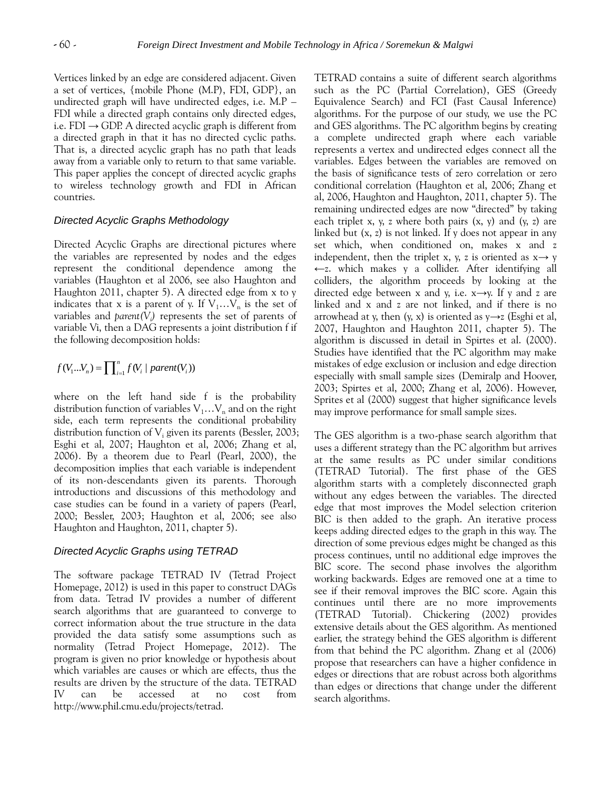Vertices linked by an edge are considered adjacent. Given a set of vertices, {mobile Phone (M.P), FDI, GDP}, an undirected graph will have undirected edges, i.e. M.P – FDI while a directed graph contains only directed edges, i.e. FDI  $\rightarrow$  GDP. A directed acyclic graph is different from a directed graph in that it has no directed cyclic paths. That is, a directed acyclic graph has no path that leads away from a variable only to return to that same variable. This paper applies the concept of directed acyclic graphs to wireless technology growth and FDI in African countries.

## *Directed Acyclic Graphs Methodology*

Directed Acyclic Graphs are directional pictures where the variables are represented by nodes and the edges represent the conditional dependence among the variables (Haughton et al 2006, see also Haughton and Haughton 2011, chapter 5). A directed edge from x to y indicates that x is a parent of y. If  $V_1...V_n$  is the set of variables and *parent(V<sup>i</sup> )* represents the set of parents of variable Vi, then a DAG represents a joint distribution f if the following decomposition holds:

$$
f(V_1...V_n) = \prod_{i=1}^n f(V_i \mid parent(V_i))
$$

where on the left hand side f is the probability distribution function of variables  $V_1...V_n$  and on the right side, each term represents the conditional probability distribution function of  $V_i$  given its parents (Bessler, 2003; Esghi et al, 2007; Haughton et al, 2006; Zhang et al, 2006). By a theorem due to Pearl (Pearl, 2000), the decomposition implies that each variable is independent of its non-descendants given its parents. Thorough introductions and discussions of this methodology and case studies can be found in a variety of papers (Pearl, 2000; Bessler, 2003; Haughton et al, 2006; see also Haughton and Haughton, 2011, chapter 5).

# *Directed Acyclic Graphs using TETRAD*

The software package TETRAD IV (Tetrad Project Homepage, 2012) is used in this paper to construct DAGs from data. Tetrad IV provides a number of different search algorithms that are guaranteed to converge to correct information about the true structure in the data provided the data satisfy some assumptions such as normality (Tetrad Project Homepage, 2012). The program is given no prior knowledge or hypothesis about which variables are causes or which are effects, thus the results are driven by the structure of the data. TETRAD IV can be accessed at no cost from http://www.phil.cmu.edu/projects/tetrad.

TETRAD contains a suite of different search algorithms such as the PC (Partial Correlation), GES (Greedy Equivalence Search) and FCI (Fast Causal Inference) algorithms. For the purpose of our study, we use the PC and GES algorithms. The PC algorithm begins by creating a complete undirected graph where each variable represents a vertex and undirected edges connect all the variables. Edges between the variables are removed on the basis of significance tests of zero correlation or zero conditional correlation (Haughton et al, 2006; Zhang et al, 2006, Haughton and Haughton, 2011, chapter 5). The remaining undirected edges are now "directed" by taking each triplet x, y, z where both pairs  $(x, y)$  and  $(y, z)$  are linked but (x, z) is not linked. If y does not appear in any set which, when conditioned on, makes x and z independent, then the triplet x, y, z is oriented as  $x \rightarrow y$ ←z. which makes y a collider. After identifying all colliders, the algorithm proceeds by looking at the directed edge between x and y, i.e.  $x \rightarrow y$ . If y and z are linked and x and z are not linked, and if there is no arrowhead at y, then  $(y, x)$  is oriented as  $y \rightarrow z$  (Esghi et al, 2007, Haughton and Haughton 2011, chapter 5). The algorithm is discussed in detail in Spirtes et al. (2000). Studies have identified that the PC algorithm may make mistakes of edge exclusion or inclusion and edge direction especially with small sample sizes (Demiralp and Hoover, 2003; Spirtes et al, 2000; Zhang et al, 2006). However, Sprites et al (2000) suggest that higher significance levels may improve performance for small sample sizes.

The GES algorithm is a two-phase search algorithm that uses a different strategy than the PC algorithm but arrives at the same results as PC under similar conditions (TETRAD Tutorial). The first phase of the GES algorithm starts with a completely disconnected graph without any edges between the variables. The directed edge that most improves the Model selection criterion BIC is then added to the graph. An iterative process keeps adding directed edges to the graph in this way. The direction of some previous edges might be changed as this process continues, until no additional edge improves the BIC score. The second phase involves the algorithm working backwards. Edges are removed one at a time to see if their removal improves the BIC score. Again this continues until there are no more improvements (TETRAD Tutorial). Chickering (2002) provides extensive details about the GES algorithm. As mentioned earlier, the strategy behind the GES algorithm is different from that behind the PC algorithm. Zhang et al (2006) propose that researchers can have a higher confidence in edges or directions that are robust across both algorithms than edges or directions that change under the different search algorithms.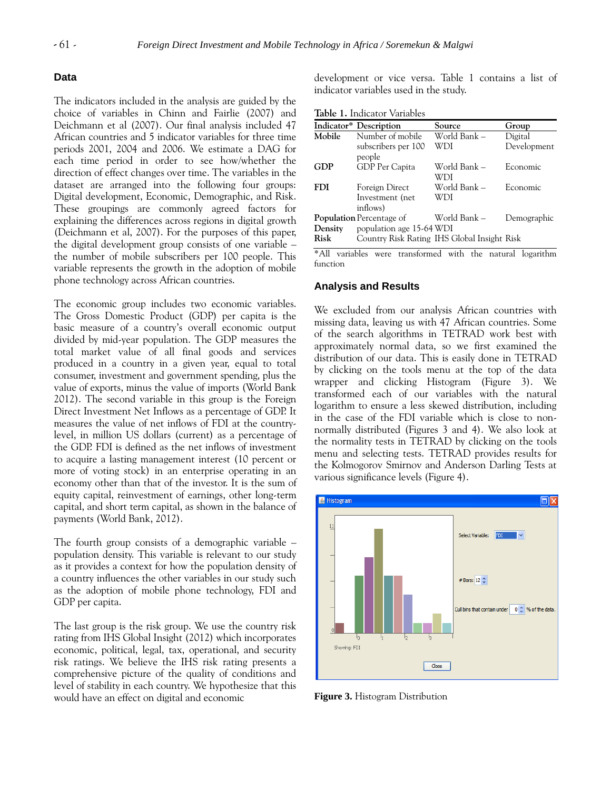## **Data**

The indicators included in the analysis are guided by the choice of variables in Chinn and Fairlie (2007) and Deichmann et al (2007). Our final analysis included 47 African countries and 5 indicator variables for three time periods 2001, 2004 and 2006. We estimate a DAG for each time period in order to see how/whether the direction of effect changes over time. The variables in the dataset are arranged into the following four groups: Digital development, Economic, Demographic, and Risk. These groupings are commonly agreed factors for explaining the differences across regions in digital growth (Deichmann et al, 2007). For the purposes of this paper, the digital development group consists of one variable – the number of mobile subscribers per 100 people. This variable represents the growth in the adoption of mobile phone technology across African countries.

The economic group includes two economic variables. The Gross Domestic Product (GDP) per capita is the basic measure of a country's overall economic output divided by mid-year population. The GDP measures the total market value of all final goods and services produced in a country in a given year, equal to total consumer, investment and government spending, plus the value of exports, minus the value of imports (World Bank 2012). The second variable in this group is the Foreign Direct Investment Net Inflows as a percentage of GDP. It measures the value of net inflows of FDI at the countrylevel, in million US dollars (current) as a percentage of the GDP. FDI is defined as the net inflows of investment to acquire a lasting management interest (10 percent or more of voting stock) in an enterprise operating in an economy other than that of the investor. It is the sum of equity capital, reinvestment of earnings, other long-term capital, and short term capital, as shown in the balance of payments (World Bank, 2012).

The fourth group consists of a demographic variable – population density. This variable is relevant to our study as it provides a context for how the population density of a country influences the other variables in our study such as the adoption of mobile phone technology, FDI and GDP per capita.

The last group is the risk group. We use the country risk rating from IHS Global Insight (2012) which incorporates economic, political, legal, tax, operational, and security risk ratings. We believe the IHS risk rating presents a comprehensive picture of the quality of conditions and level of stability in each country. We hypothesize that this would have an effect on digital and economic

development or vice versa. Table 1 contains a list of indicator variables used in the study.

**Table 1.** Indicator Variables

|             | Indicator* Description                      | Source              | Group       |  |  |  |  |  |
|-------------|---------------------------------------------|---------------------|-------------|--|--|--|--|--|
| Mobile      | Number of mobile                            | World Bank –        | Digital     |  |  |  |  |  |
|             | subscribers per 100<br>people               | WDI                 | Development |  |  |  |  |  |
| GDP         | GDP Per Capita                              | World Bank -<br>WDI | Economic    |  |  |  |  |  |
| <b>FDI</b>  | Foreign Direct                              | World Bank -        | Economic    |  |  |  |  |  |
|             | Investment (net                             | WDI                 |             |  |  |  |  |  |
|             | inflows)                                    |                     |             |  |  |  |  |  |
|             | <b>Population</b> Percentage of             | World Bank -        | Demographic |  |  |  |  |  |
| Density     | population age 15-64 WDI                    |                     |             |  |  |  |  |  |
| <b>Risk</b> | Country Risk Rating IHS Global Insight Risk |                     |             |  |  |  |  |  |

\*All variables were transformed with the natural logarithm function

#### **Analysis and Results**

We excluded from our analysis African countries with missing data, leaving us with 47 African countries. Some of the search algorithms in TETRAD work best with approximately normal data, so we first examined the distribution of our data. This is easily done in TETRAD by clicking on the tools menu at the top of the data wrapper and clicking Histogram (Figure 3). We transformed each of our variables with the natural logarithm to ensure a less skewed distribution, including in the case of the FDI variable which is close to nonnormally distributed (Figures 3 and 4). We also look at the normality tests in TETRAD by clicking on the tools menu and selecting tests. TETRAD provides results for the Kolmogorov Smirnov and Anderson Darling Tests at various significance levels (Figure 4).



**Figure 3.** Histogram Distribution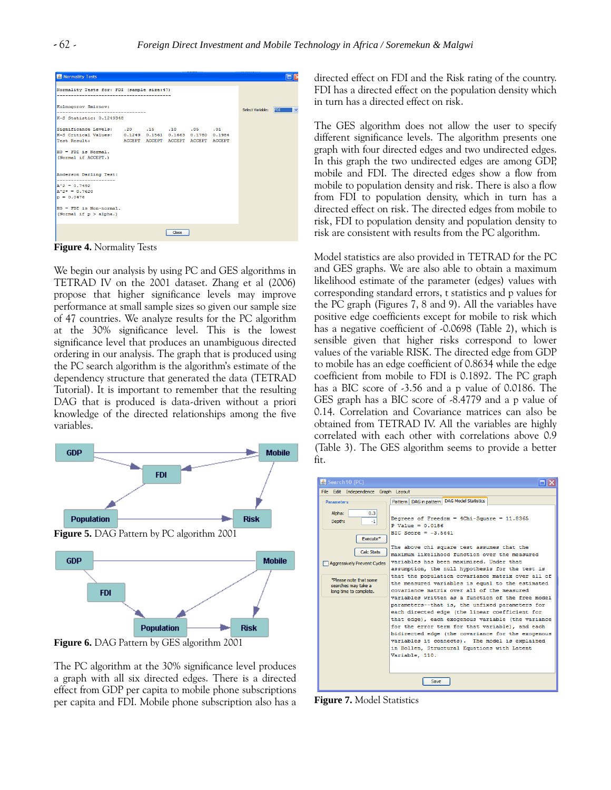| 8 Normality Tests                                                                                                                                                                                         |  |       |  |                  |     |
|-----------------------------------------------------------------------------------------------------------------------------------------------------------------------------------------------------------|--|-------|--|------------------|-----|
| Normality Tests for: FDI (sample size: 47)<br>------------------------------------                                                                                                                        |  |       |  |                  |     |
| Kolmogorov Smirnov:<br>---------------------------------                                                                                                                                                  |  |       |  | Select Variable: | FDI |
| K-S Statistic: 0.1249348                                                                                                                                                                                  |  |       |  |                  |     |
| 51. 51. 15 Significance Levels: .20 .15 .10<br>K-S Critical Values: 0.1249 0.1561 0.1663 0.1780 0.1984<br>Test Result: ACCEPT ACCEPT ACCEPT ACCEPT ACCEPT<br>$HO = FDI$ is Normal.<br>(Normal if ACCEPT.) |  |       |  |                  |     |
| Anderson Darling Test:<br>$A^2 = 0.7492$<br>$A^2$ = 0.7620<br>$p = 0.0476$                                                                                                                                |  |       |  |                  |     |
| $HO = FDI$ is Non-normal.<br>(Normal if $p > alpha$ .)                                                                                                                                                    |  |       |  |                  |     |
|                                                                                                                                                                                                           |  | Close |  |                  |     |

**Figure 4.** Normality Tests

We begin our analysis by using PC and GES algorithms in TETRAD IV on the 2001 dataset. Zhang et al (2006) propose that higher significance levels may improve performance at small sample sizes so given our sample size of 47 countries. We analyze results for the PC algorithm at the 30% significance level. This is the lowest significance level that produces an unambiguous directed ordering in our analysis. The graph that is produced using the PC search algorithm is the algorithm's estimate of the dependency structure that generated the data (TETRAD Tutorial). It is important to remember that the resulting DAG that is produced is data-driven without a priori knowledge of the directed relationships among the five variables.



**Figure 6.** DAG Pattern by GES algorithm 2001

The PC algorithm at the 30% significance level produces a graph with all six directed edges. There is a directed effect from GDP per capita to mobile phone subscriptions per capita and FDI. Mobile phone subscription also has a directed effect on FDI and the Risk rating of the country. FDI has a directed effect on the population density which in turn has a directed effect on risk.

The GES algorithm does not allow the user to specify different significance levels. The algorithm presents one graph with four directed edges and two undirected edges. In this graph the two undirected edges are among GDP, mobile and FDI. The directed edges show a flow from mobile to population density and risk. There is also a flow from FDI to population density, which in turn has a directed effect on risk. The directed edges from mobile to risk, FDI to population density and population density to risk are consistent with results from the PC algorithm.

Model statistics are also provided in TETRAD for the PC and GES graphs. We are also able to obtain a maximum likelihood estimate of the parameter (edges) values with corresponding standard errors, t statistics and p values for the PC graph (Figures 7, 8 and 9). All the variables have positive edge coefficients except for mobile to risk which has a negative coefficient of -0.0698 (Table 2), which is sensible given that higher risks correspond to lower values of the variable RISK. The directed edge from GDP to mobile has an edge coefficient of 0.8634 while the edge coefficient from mobile to FDI is 0.1892. The PC graph has a BIC score of -3.56 and a p value of 0.0186. The GES graph has a BIC score of -8.4779 and a p value of 0.14. Correlation and Covariance matrices can also be obtained from TETRAD IV. All the variables are highly correlated with each other with correlations above 0.9 (Table 3). The GES algorithm seems to provide a better fit.

| Search10 (PC)                                                                                                    |                                                                                                                                                                                                                                                                                                                                                                                                                                        |  |  |  |  |  |  |
|------------------------------------------------------------------------------------------------------------------|----------------------------------------------------------------------------------------------------------------------------------------------------------------------------------------------------------------------------------------------------------------------------------------------------------------------------------------------------------------------------------------------------------------------------------------|--|--|--|--|--|--|
|                                                                                                                  | File Edit Independence Graph Lavout                                                                                                                                                                                                                                                                                                                                                                                                    |  |  |  |  |  |  |
| <b>Parameters</b>                                                                                                | Pattern   DAG in pattern   DAG Model Statistics                                                                                                                                                                                                                                                                                                                                                                                        |  |  |  |  |  |  |
| Alpha:<br>0.3<br>Depth:<br>-1<br>Execute <sup>*</sup><br><b>Calc Stats</b><br><b>Aggressively Prevent Cycles</b> | Degrees of Freedom = 4Chi-Square = 11.8365<br>$P$ Value = 0.0186<br>BIC Score = $-3.5641$<br>The above chi square test assumes that the<br>maximum likelihood function over the measured<br>variables has been maximized. Under that                                                                                                                                                                                                   |  |  |  |  |  |  |
| *Please note that some                                                                                           | assumption, the null hypothesis for the test is<br>that the population covariance matrix over all of                                                                                                                                                                                                                                                                                                                                   |  |  |  |  |  |  |
| searches may take a<br>long time to complete.                                                                    | the measured variables is equal to the estimated<br>covariance matrix over all of the measured                                                                                                                                                                                                                                                                                                                                         |  |  |  |  |  |  |
|                                                                                                                  | variables written as a function of the free model<br>parameters--that is, the unfixed parameters for<br>each directed edge (the linear coefficient for<br>that edge), each exogenous variable (the variance<br>for the error term for that variable), and each<br>bidirected edge (the covariance for the exogenous<br>variables it connects). The model is explained<br>in Bollen, Structural Equations with Latent<br>Variable, 110. |  |  |  |  |  |  |
| Save                                                                                                             |                                                                                                                                                                                                                                                                                                                                                                                                                                        |  |  |  |  |  |  |

**Figure 7.** Model Statistics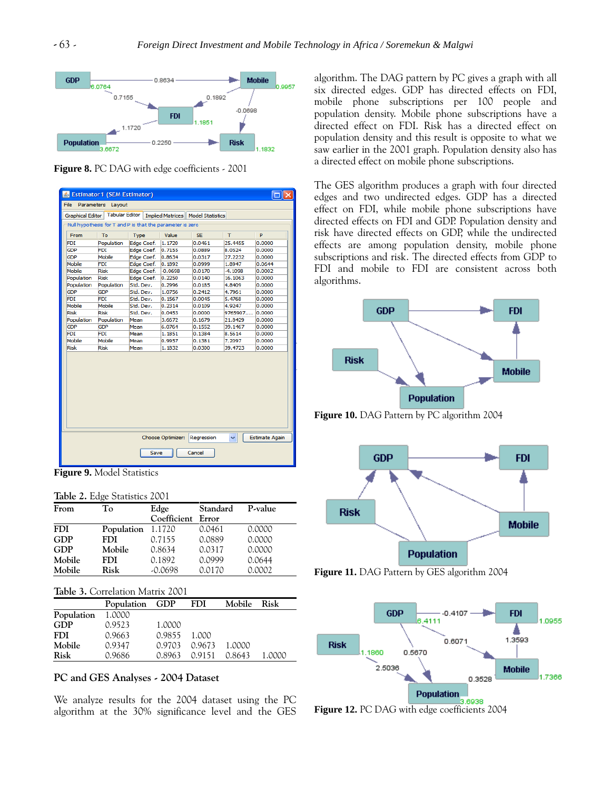

**Figure 8.** PC DAG with edge coefficients - 2001

| & Estimator1 (SEM Estimator)                                               |                       |                                                           |           |                                     |              |        |
|----------------------------------------------------------------------------|-----------------------|-----------------------------------------------------------|-----------|-------------------------------------|--------------|--------|
| File<br>Parameters Lavout                                                  |                       |                                                           |           |                                     |              |        |
| <b>Graphical Editor</b>                                                    | <b>Tabular Editor</b> |                                                           |           | Implied Matrices   Model Statistics |              |        |
|                                                                            |                       | Null hypothesis for T and P is that the parameter is zero |           |                                     |              |        |
| From                                                                       | To                    | Type                                                      | Value     | SE.                                 | $\mathsf{T}$ | P      |
| <b>FDI</b>                                                                 | Population            | Edge Coef.                                                | 1.1720    | 0.0461                              | 25.4455      | 0.0000 |
| <b>GDP</b>                                                                 | <b>FDI</b>            | <b>Edge Coef.</b>                                         | 0.7155    | 0.0889                              | 8.0524       | 0.0000 |
| <b>GDP</b>                                                                 | Mobile                | Edge Coef.                                                | 0.8634    | 0.0317                              | 27.2232      | 0.0000 |
| Mobile                                                                     | <b>FDI</b>            | Edge Coef.                                                | 0.1892    | 0.0999                              | 1.8947       | 0.0644 |
| Mobile                                                                     | <b>Risk</b>           | Edge Coef.                                                | $-0.0698$ | 0.0170                              | $-4.1098$    | 0.0002 |
| Population                                                                 | <b>Risk</b>           | Edge Coef.                                                | 0.2250    | 0.0140                              | 16.1063      | 0.0000 |
| Population                                                                 | Population            | Std. Dev.                                                 | 0.2996    | 0.0185                              | 4.8409       | 0.0000 |
| <b>GDP</b>                                                                 | <b>GDP</b>            | Std. Dev.                                                 | 1.0756    | 0.2412                              | 4.7961       | 0.0000 |
| <b>FDI</b>                                                                 | <b>FDI</b>            | Std. Dev.                                                 | 0.1567    | 0.0045                              | 5.4768       | 0.0000 |
| Mobile                                                                     | Mobile                | Std. Dev.                                                 | 0.2314    | 0.0109                              | 4.9247       | 0.0000 |
| <b>Risk</b>                                                                | Risk                  | Std. Dev.                                                 | 0.0453    | 0.0000                              | 9765907      | 0.0000 |
| Population                                                                 | Population            | Mean                                                      | 3.6672    | 0.1679                              | 21.8429      | 0.0000 |
| <b>GDP</b>                                                                 | <b>GDP</b>            | Mean                                                      | 6.0764    | 0.1552                              | 39.1467      | 0.0000 |
| <b>FDI</b>                                                                 | <b>FDI</b>            | Mean                                                      | 1.1851    | 0.1384                              | 8.5614       | 0.0000 |
| Mobile                                                                     | Mobile                | Mean                                                      | 0.9957    | 0.1381                              | 7.2097       | 0.0000 |
| <b>Risk</b>                                                                | <b>Risk</b>           | Mean                                                      | 1.1832    | 0.0300                              | 39.4723      | 0.0000 |
|                                                                            |                       |                                                           |           |                                     |              |        |
| Choose Optimizer:<br><b>Estimate Again</b><br>Regression<br>Cancel<br>Save |                       |                                                           |           |                                     |              |        |

**Figure 9.** Model Statistics

**Table 2.** Edge Statistics 2001

| From       | Tо         | Edge              | Standard | P-value |
|------------|------------|-------------------|----------|---------|
|            |            | Coefficient Error |          |         |
| <b>FDI</b> | Population | 1.1720            | 0.0461   | 0.0000  |
| <b>GDP</b> | <b>FDI</b> | 0.7155            | 0.0889   | 0.0000  |
| <b>GDP</b> | Mobile     | 0.8634            | 0.0317   | 0.0000  |
| Mobile     | <b>FDI</b> | 0.1892            | 0.0999   | 0.0644  |
| Mobile     | Risk       | $-0.0698$         | 0.0170   | 0.0002  |

|  | Table 3. Correlation Matrix 2001 |  |  |
|--|----------------------------------|--|--|
|--|----------------------------------|--|--|

|            | Population GDP |        | <b>FDI</b> | Mobile | Risk   |
|------------|----------------|--------|------------|--------|--------|
| Population | 1.0000         |        |            |        |        |
| <b>GDP</b> | 0.9523         | 1.0000 |            |        |        |
| <b>FDI</b> | 0.9663         | 0.9855 | 1.000      |        |        |
| Mobile     | 0.9347         | 0.9703 | 0.9673     | 1.0000 |        |
| Risk       | 0.9686         | 0.8963 | 0.9151     | 0.8643 | 1.0000 |

### **PC and GES Analyses - 2004 Dataset**

We analyze results for the 2004 dataset using the PC algorithm at the 30% significance level and the GES algorithm. The DAG pattern by PC gives a graph with all six directed edges. GDP has directed effects on FDI, mobile phone subscriptions per 100 people and population density. Mobile phone subscriptions have a directed effect on FDI. Risk has a directed effect on population density and this result is opposite to what we saw earlier in the 2001 graph. Population density also has a directed effect on mobile phone subscriptions.

The GES algorithm produces a graph with four directed edges and two undirected edges. GDP has a directed effect on FDI, while mobile phone subscriptions have directed effects on FDI and GDP. Population density and risk have directed effects on GDP, while the undirected effects are among population density, mobile phone subscriptions and risk. The directed effects from GDP to FDI and mobile to FDI are consistent across both algorithms.



**Figure 10.** DAG Pattern by PC algorithm 2004







**Figure 12.** PC DAG with edge coefficients 2004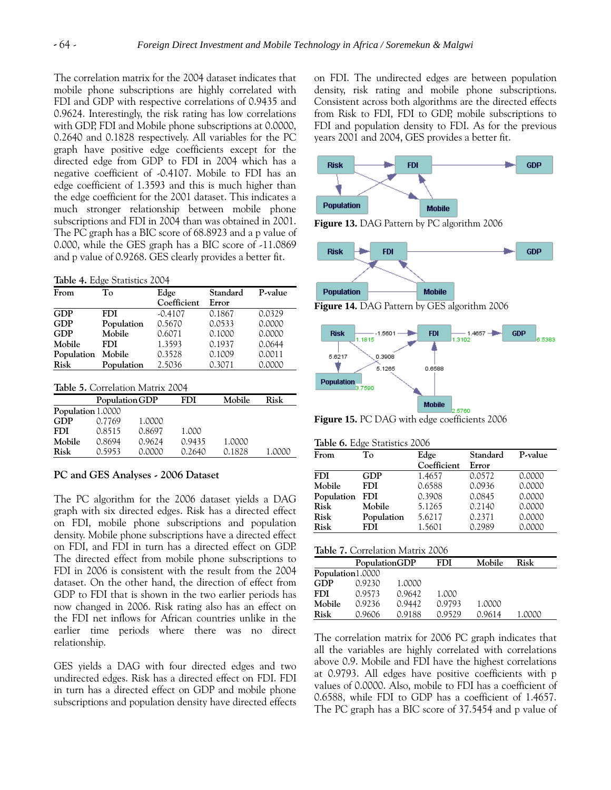The correlation matrix for the 2004 dataset indicates that mobile phone subscriptions are highly correlated with FDI and GDP with respective correlations of 0.9435 and 0.9624. Interestingly, the risk rating has low correlations with GDP, FDI and Mobile phone subscriptions at 0.0000, 0.2640 and 0.1828 respectively. All variables for the PC graph have positive edge coefficients except for the directed edge from GDP to FDI in 2004 which has a negative coefficient of -0.4107. Mobile to FDI has an edge coefficient of 1.3593 and this is much higher than the edge coefficient for the 2001 dataset. This indicates a much stronger relationship between mobile phone subscriptions and FDI in 2004 than was obtained in 2001. The PC graph has a BIC score of 68.8923 and a p value of 0.000, while the GES graph has a BIC score of -11.0869 and p value of 0.9268. GES clearly provides a better fit.

**Table 4.** Edge Statistics 2004

| From       | To         | Edge        | Standard | P-value |
|------------|------------|-------------|----------|---------|
|            |            | Coefficient | Error    |         |
| <b>GDP</b> | <b>FDI</b> | $-0.4107$   | 0.1867   | 0.0329  |
| <b>GDP</b> | Population | 0.5670      | 0.0533   | 0.0000  |
| <b>GDP</b> | Mobile     | 0.6071      | 0.1000   | 0.0000  |
| Mobile     | <b>FDI</b> | 1.3593      | 0.1937   | 0.0644  |
| Population | Mobile     | 0.3528      | 0.1009   | 0.0011  |
| Risk       | Population | 2.5036      | 0.3071   | 0.0000  |

**Table 5.** Correlation Matrix 2004

|                   | Population GDP |        | FDI    | Mobile | Risk   |
|-------------------|----------------|--------|--------|--------|--------|
| Population 1.0000 |                |        |        |        |        |
| <b>GDP</b>        | 0.7769         | 1.0000 |        |        |        |
| <b>FDI</b>        | 0.8515         | 0.8697 | 1.000  |        |        |
| Mobile            | 0.8694         | 0.9624 | 0.9435 | 1.0000 |        |
| Risk              | 0.5953         | 0.0000 | 0.2640 | 0.1828 | 1.0000 |

#### **PC and GES Analyses - 2006 Dataset**

The PC algorithm for the 2006 dataset yields a DAG graph with six directed edges. Risk has a directed effect on FDI, mobile phone subscriptions and population density. Mobile phone subscriptions have a directed effect on FDI, and FDI in turn has a directed effect on GDP. The directed effect from mobile phone subscriptions to FDI in 2006 is consistent with the result from the 2004 dataset. On the other hand, the direction of effect from GDP to FDI that is shown in the two earlier periods has now changed in 2006. Risk rating also has an effect on the FDI net inflows for African countries unlike in the earlier time periods where there was no direct relationship.

GES yields a DAG with four directed edges and two undirected edges. Risk has a directed effect on FDI. FDI in turn has a directed effect on GDP and mobile phone subscriptions and population density have directed effects on FDI. The undirected edges are between population density, risk rating and mobile phone subscriptions. Consistent across both algorithms are the directed effects from Risk to FDI, FDI to GDP, mobile subscriptions to FDI and population density to FDI. As for the previous years 2001 and 2004, GES provides a better fit.



**Figure 13.** DAG Pattern by PC algorithm 2006



**Figure 14.** DAG Pattern by GES algorithm 2006



**Figure 15.** PC DAG with edge coefficients 2006

|  |  | Table 6. Edge Statistics 2006 |  |
|--|--|-------------------------------|--|
|--|--|-------------------------------|--|

| Tо         | Edge        | Standard | P-value |
|------------|-------------|----------|---------|
|            | Coefficient | Error    |         |
| GDP        | 1.4657      | 0.0572   | 0.0000  |
| <b>FDI</b> | 0.6588      | 0.0936   | 0.0000  |
| FDI        | 0.3908      | 0.0845   | 0.0000  |
| Mobile     | 5.1265      | 0.2140   | 0.0000  |
| Population | 5.6217      | 0.2371   | 0.0000  |
| FDI        | 1.5601      | 0.2989   | 0.0000  |
|            |             |          |         |

|  |  |  |  | Table 7. Correlation Matrix 2006 |  |
|--|--|--|--|----------------------------------|--|
|--|--|--|--|----------------------------------|--|

|                  | PopulationGDP |        | FDI    | Mobile | Risk   |
|------------------|---------------|--------|--------|--------|--------|
| Population1.0000 |               |        |        |        |        |
| GDP              | 0.9230        | 1.0000 |        |        |        |
| <b>FDI</b>       | 0.9573        | 0.9642 | 1.000  |        |        |
| Mobile           | 0.9236        | 0.9442 | 0.9793 | 1.0000 |        |
| Risk             | 0.9606        | 0.9188 | 0.9529 | 0.9614 | 1.0000 |

The correlation matrix for 2006 PC graph indicates that all the variables are highly correlated with correlations above 0.9. Mobile and FDI have the highest correlations at 0.9793. All edges have positive coefficients with p values of 0.0000. Also, mobile to FDI has a coefficient of 0.6588, while FDI to GDP has a coefficient of 1.4657. The PC graph has a BIC score of 37.5454 and p value of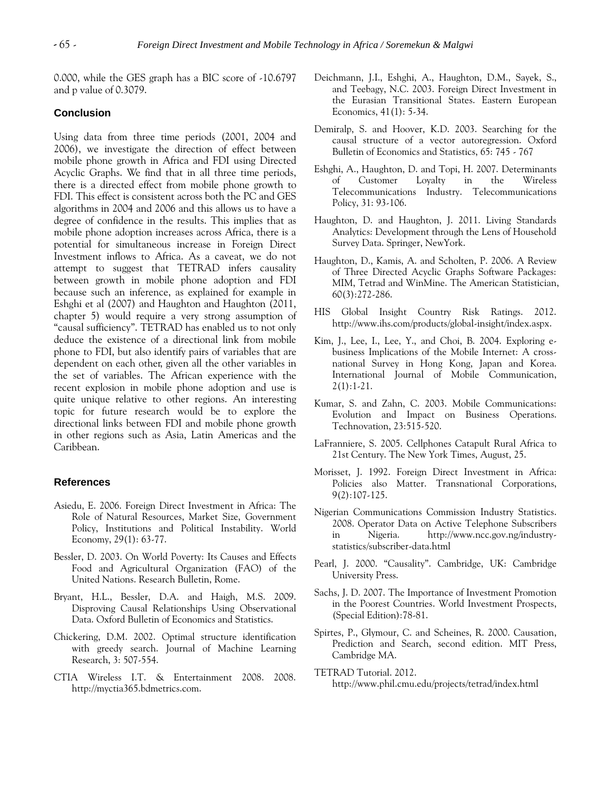0.000, while the GES graph has a BIC score of -10.6797 and p value of 0.3079.

#### **Conclusion**

Using data from three time periods (2001, 2004 and 2006), we investigate the direction of effect between mobile phone growth in Africa and FDI using Directed Acyclic Graphs. We find that in all three time periods, there is a directed effect from mobile phone growth to FDI. This effect is consistent across both the PC and GES algorithms in 2004 and 2006 and this allows us to have a degree of confidence in the results. This implies that as mobile phone adoption increases across Africa, there is a potential for simultaneous increase in Foreign Direct Investment inflows to Africa. As a caveat, we do not attempt to suggest that TETRAD infers causality between growth in mobile phone adoption and FDI because such an inference, as explained for example in Eshghi et al (2007) and Haughton and Haughton (2011, chapter 5) would require a very strong assumption of "causal sufficiency". TETRAD has enabled us to not only deduce the existence of a directional link from mobile phone to FDI, but also identify pairs of variables that are dependent on each other, given all the other variables in the set of variables. The African experience with the recent explosion in mobile phone adoption and use is quite unique relative to other regions. An interesting topic for future research would be to explore the directional links between FDI and mobile phone growth in other regions such as Asia, Latin Americas and the Caribbean.

### **References**

- Asiedu, E. 2006. Foreign Direct Investment in Africa: The Role of Natural Resources, Market Size, Government Policy, Institutions and Political Instability. World Economy, 29(1): 63-77.
- Bessler, D. 2003. On World Poverty: Its Causes and Effects Food and Agricultural Organization (FAO) of the United Nations. Research Bulletin, Rome.
- Bryant, H.L., Bessler, D.A. and Haigh, M.S. 2009. Disproving Causal Relationships Using Observational Data. Oxford Bulletin of Economics and Statistics.
- Chickering, D.M. 2002. Optimal structure identification with greedy search. Journal of Machine Learning Research, 3: 507-554.
- CTIA Wireless I.T. & Entertainment 2008. 2008. http://myctia365.bdmetrics.com.
- Deichmann, J.I., Eshghi, A., Haughton, D.M., Sayek, S., and Teebagy, N.C. 2003. Foreign Direct Investment in the Eurasian Transitional States. Eastern European Economics, 41(1): 5-34.
- Demiralp, S. and Hoover, K.D. 2003. Searching for the causal structure of a vector autoregression. Oxford Bulletin of Economics and Statistics, 65: 745 - 767
- Eshghi, A., Haughton, D. and Topi, H. 2007. Determinants of Customer Loyalty in the Wireless Telecommunications Industry. Telecommunications Policy, 31: 93-106.
- Haughton, D. and Haughton, J. 2011. Living Standards Analytics: Development through the Lens of Household Survey Data. Springer, NewYork.
- Haughton, D., Kamis, A. and Scholten, P. 2006. A Review of Three Directed Acyclic Graphs Software Packages: MIM, Tetrad and WinMine. The American Statistician, 60(3):272-286.
- HIS Global Insight Country Risk Ratings. 2012. [http://www.ihs.com/products/global-insight/index.aspx.](http://www.ihs.com/products/global-insight/index.aspx)
- Kim, J., Lee, I., Lee, Y., and Choi, B. 2004. Exploring ebusiness Implications of the Mobile Internet: A crossnational Survey in Hong Kong, Japan and Korea. International Journal of Mobile Communication,  $2(1):1-21.$
- Kumar, S. and Zahn, C. 2003. Mobile Communications: Evolution and Impact on Business Operations. Technovation, 23:515-520.
- LaFranniere, S. 2005. Cellphones Catapult Rural Africa to 21st Century. The New York Times, August, 25.
- Morisset, J. 1992. Foreign Direct Investment in Africa: Policies also Matter. Transnational Corporations, 9(2):107-125.
- Nigerian Communications Commission Industry Statistics. 2008. Operator Data on Active Telephone Subscribers in Nigeria. http://www.ncc.gov.ng/industrystatistics/subscriber-data.html
- Pearl, J. 2000. "Causality". Cambridge, UK: Cambridge University Press.
- Sachs, J. D. 2007. The Importance of Investment Promotion in the Poorest Countries. World Investment Prospects, (Special Edition):78-81.
- Spirtes, P., Glymour, C. and Scheines, R. 2000. Causation, Prediction and Search, second edition. MIT Press, Cambridge MA.
- TETRAD Tutorial. 2012. <http://www.phil.cmu.edu/projects/tetrad/index.html>